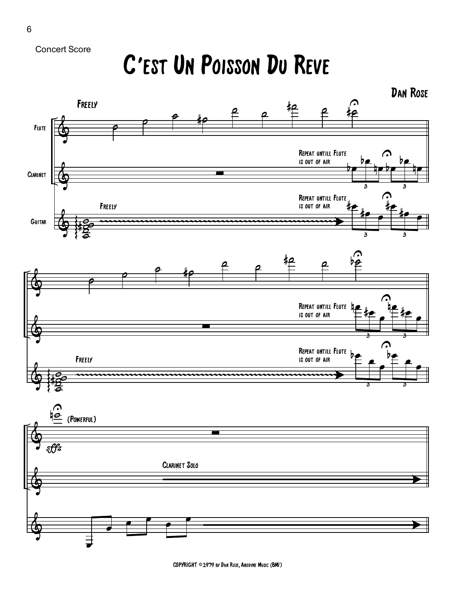Concert Score

## C'est Un Poisson Du Reve